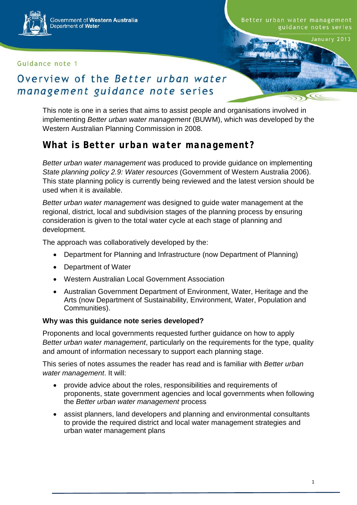#### Guidance note 1

January 2013

CC

# Overview of the Better urban water management guidance note series

This note is one in a series that aims to assist people and organisations involved in implementing *Better urban water management* (BUWM), which was developed by the Western Australian Planning Commission in 2008.

## **What is** *Better urban water management***?**

*Better urban water management* was produced to provide guidance on implementing *State planning policy 2.9: Water resources* (Government of Western Australia 2006). This state planning policy is currently being reviewed and the latest version should be used when it is available.

*Better urban water management* was designed to guide water management at the regional, district, local and subdivision stages of the planning process by ensuring consideration is given to the total water cycle at each stage of planning and development.

The approach was collaboratively developed by the:

- Department for Planning and Infrastructure (now Department of Planning)
- Department of Water
- Western Australian Local Government Association
- Australian Government Department of Environment, Water, Heritage and the Arts (now Department of Sustainability, Environment, Water, Population and Communities).

#### **Why was this guidance note series developed?**

Proponents and local governments requested further guidance on how to apply *Better urban water management*, particularly on the requirements for the type, quality and amount of information necessary to support each planning stage.

This series of notes assumes the reader has read and is familiar with *Better urban water management*. It will:

- provide advice about the roles, responsibilities and requirements of proponents, state government agencies and local governments when following the *Better urban water management* process
- assist planners, land developers and planning and environmental consultants to provide the required district and local water management strategies and urban water management plans